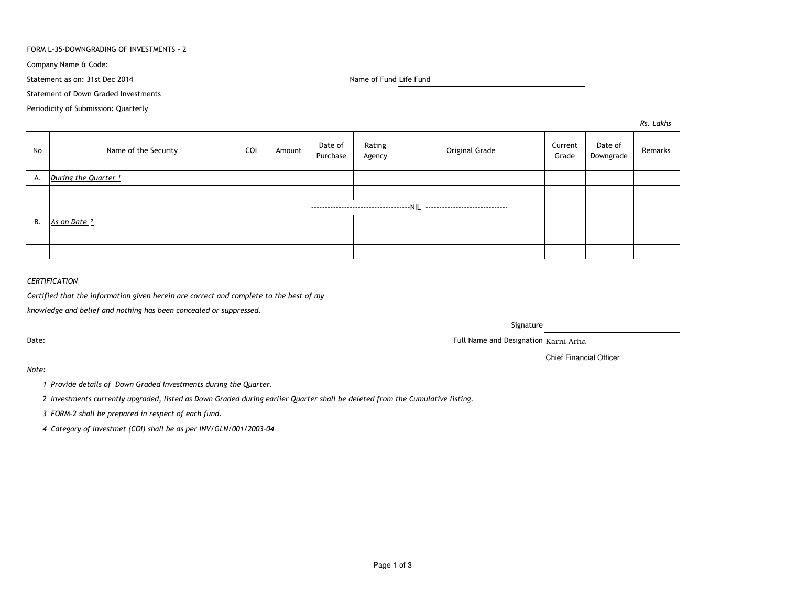#### FORM L-35-DOWNGRADING OF INVESTMENTS - 2

Company Name & Code:

Statement as on: 31st Dec 2014

Name of Fund Life Fund

Statement of Down Graded Investments

Periodicity of Submission: Quarterly

*Rs. Lakhs*

| No | Name of the Security            | COI | Amount | Date of<br>Purchase | Rating<br>Agency | Original Grade | Current<br>Grade | Date of<br>Downgrade | Remarks |
|----|---------------------------------|-----|--------|---------------------|------------------|----------------|------------------|----------------------|---------|
| А. | During the Quarter <sup>1</sup> |     |        |                     |                  |                |                  |                      |         |
|    |                                 |     |        |                     |                  |                |                  |                      |         |
|    |                                 |     |        |                     |                  |                |                  |                      |         |
| В. | As on Date <sup>2</sup>         |     |        |                     |                  |                |                  |                      |         |
|    |                                 |     |        |                     |                  |                |                  |                      |         |
|    |                                 |     |        |                     |                  |                |                  |                      |         |

# *CERTIFICATION*

*Certified that the information given herein are correct and complete to the best of my*

*knowledge and belief and nothing has been concealed or suppressed.*

Date:

Signature

Full Name and Designation Karni Arha

Chief Financial Officer

*Note:*

*<sup>1</sup> Provide details of Down Graded Investments during the Quarter.* 

*<sup>2</sup> Investments currently upgraded, listed as Down Graded during earlier Quarter shall be deleted from the Cumulative listing.*

*<sup>3</sup> FORM-2 shall be prepared in respect of each fund.*

*<sup>4</sup> Category of Investmet (COI) shall be as per INV/GLN/001/2003-04*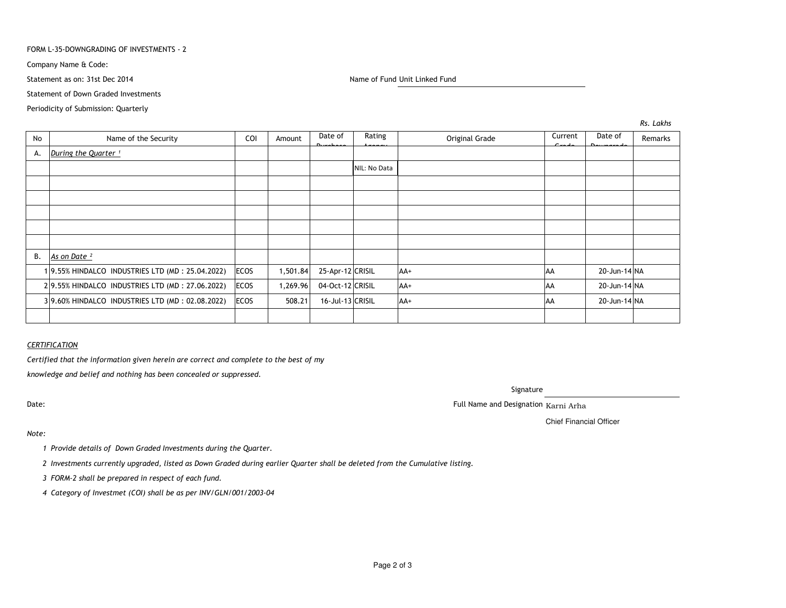#### FORM L-35-DOWNGRADING OF INVESTMENTS - 2

Company Name & Code:

Statement as on: 31st Dec 2014

Name of Fund Unit Linked Fund

Statement of Down Graded Investments

Periodicity of Submission: Quarterly

No Name of the Security COI Amount Date of PurchaseRating Agency Original Grade Current GradeDate of Downgrade<br>P RemarksA.*During the Quarter* <sup>1</sup> NIL: No DataB. *As on Date ²*<sup>1</sup> 9.55% HINDALCO INDUSTRIES LTD (MD : 25.04.2022) ECOS 1,501.84 25-Apr-12 CRISIL AA+ AA 20-Jun-14 NA29.55% HINDALCO INDUSTRIES LTD (MD : 27.06.2022) ECOS | 1,269.96 04-Oct-12 CRISIL AA+ AA 20-Jun-14 NA3 9.60% HINDALCO INDUSTRIES LTD (MD : 02.08.2022) ECOS | 508.21 16-Jul-13 CRISIL | AA+ AA 20-Jun-14 NA

## *CERTIFICATION*

*Certified that the information given herein are correct and complete to the best of my*

*knowledge and belief and nothing has been concealed or suppressed.*

Date:

Signature

. The contract of the contract of the contract of the contract of the contract of the contract of the contract of the contract of the contract of the contract of the contract of the contract of the contract of the contract

Chief Financial Officer

## *Note:*

*<sup>1</sup> Provide details of Down Graded Investments during the Quarter.* 

*<sup>2</sup> Investments currently upgraded, listed as Down Graded during earlier Quarter shall be deleted from the Cumulative listing.*

*<sup>3</sup> FORM-2 shall be prepared in respect of each fund.*

*<sup>4</sup> Category of Investmet (COI) shall be as per INV/GLN/001/2003-04*

*Rs. Lakhs*